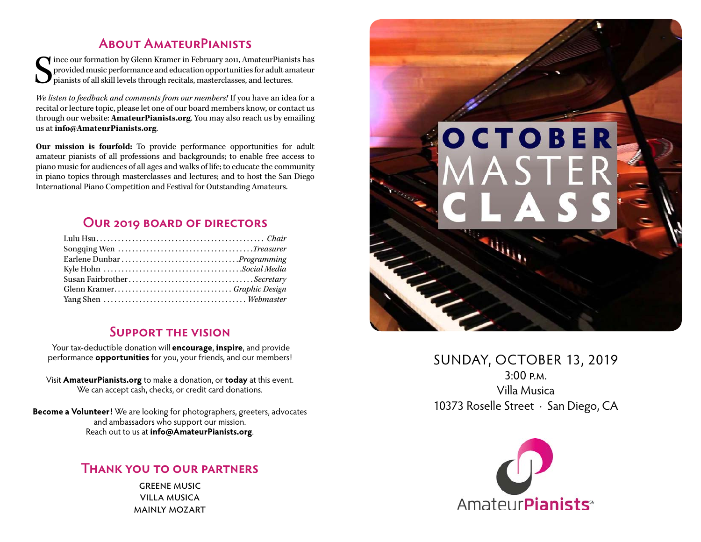### **About AmateurPianists**

 $\begin{cases} \begin{array}{c} \text{ince our formation by Glenn Kramer in February 2011, Amateur-Pianists has provided music performance and education opportunities for adult amateur pianists of all skill levels through recitals, masterclasses, and lectures. \end{array} \end{cases}$ provided music performance and education opportunities for adult amateur pianists of all skill levels through recitals, masterclasses, and lectures.

*We listen to feedback and comments from our members!* If you have an idea for a recital or lecture topic, please let one of our board members know, or contact us through our website: **[AmateurPianists.org](http://AmateurPianists.org)**. You may also reach us by emailing us at **[info@AmateurPianists.org](mailto:info@AmateurPianists.org)**.

**Our mission is fourfold:** To provide performance opportunities for adult amateur pianists of all professions and backgrounds; to enable free access to piano music for audiences of all ages and walks of life; to educate the community in piano topics through masterclasses and lectures; and to host the San Diego International Piano Competition and Festival for Outstanding Amateurs.

### **Our 2019 board of directors**

| Susan FairbrotherSecretary |  |
|----------------------------|--|
|                            |  |
|                            |  |

#### **Support the vision**

Your tax-deductible donation will **encourage**, **inspire**, and provide performance **opportunities** for you, your friends, and our members!

Visit **[AmateurPianists.org](http://AmateurPianists.org)** to make a donation, or **today** at this event. We can accept cash, checks, or credit card donations.

**Become a Volunteer!** We are looking for photographers, greeters, advocates and ambassadors who support our mission. Reach out to us at **[info@AmateurPianists.org](mailto:info@AmateurPianists.org)**.

#### **Thank you to our partners**

greene music villa musica mainly mozart



SUNDAY, OCTOBER 13, 2019 3:00 p.m. Villa Musica 10373 Roselle Street · San Diego, CA